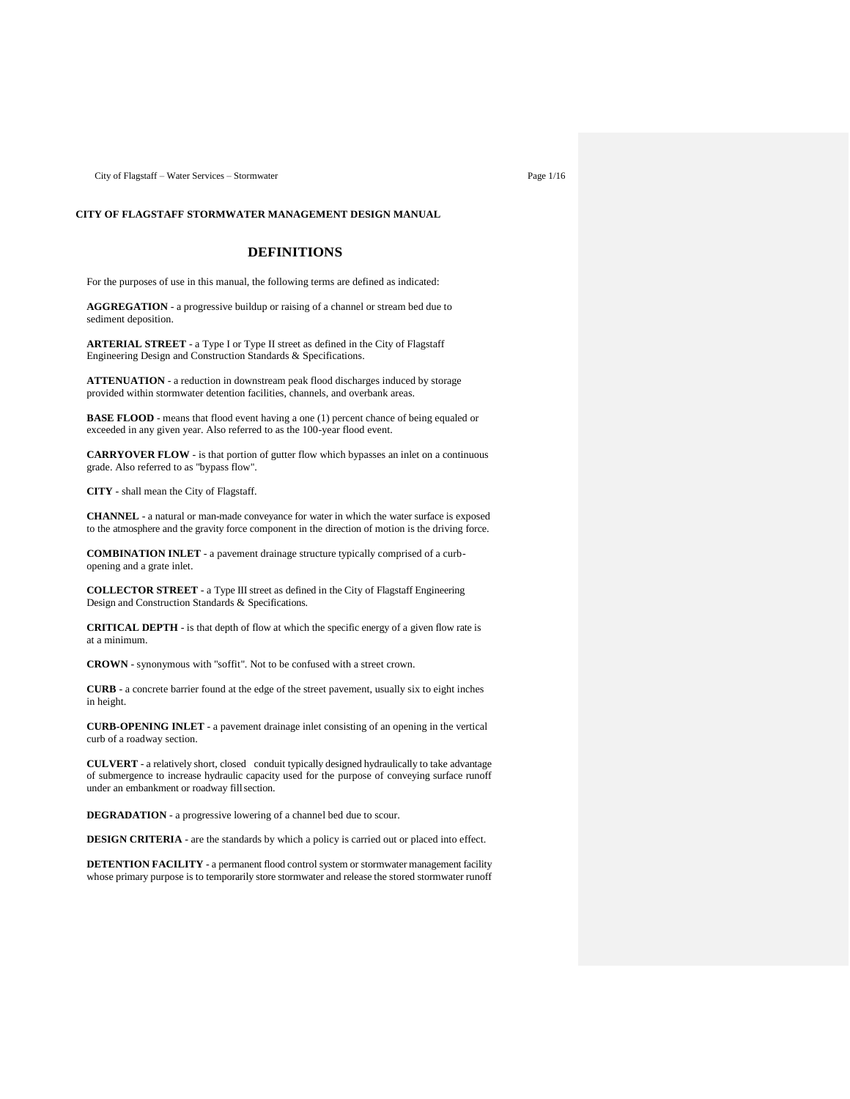City of Flagstaff – Water Services – Stormwater Page 1/16

# **CITY OF FLAGSTAFF STORMWATER MANAGEMENT DESIGN MANUAL**

# **DEFINITIONS**

For the purposes of use in this manual, the following terms are defined as indicated:

**AGGREGATION** - a progressive buildup or raising of a channel or stream bed due to sediment deposition.

**ARTERIAL STREET** - a Type I or Type II street as defined in the City of Flagstaff Engineering Design and Construction Standards & Specifications.

**ATTENUATION** - a reduction in downstream peak flood discharges induced by storage provided within stormwater detention facilities, channels, and overbank areas.

**BASE FLOOD** - means that flood event having a one (1) percent chance of being equaled or exceeded in any given year. Also referred to as the 100-year flood event.

**CARRYOVER FLOW** - is that portion of gutter flow which bypasses an inlet on a continuous grade. Also referred to as "bypass flow".

**CITY** - shall mean the City of Flagstaff.

**CHANNEL** - a natural or man-made conveyance for water in which the water surface is exposed to the atmosphere and the gravity force component in the direction of motion is the driving force.

**COMBINATION INLET** - a pavement drainage structure typically comprised of a curbopening and a grate inlet.

**COLLECTOR STREET** - a Type III street as defined in the City of Flagstaff Engineering Design and Construction Standards & Specifications.

**CRITICAL DEPTH** - is that depth of flow at which the specific energy of a given flow rate is at a minimum.

**CROWN** - synonymous with "soffit". Not to be confused with a street crown.

**CURB** - a concrete barrier found at the edge of the street pavement, usually six to eight inches in height.

**CURB-OPENING INLET** - a pavement drainage inlet consisting of an opening in the vertical curb of a roadway section.

**CULVERT** - a relatively short, closed conduit typically designed hydraulically to take advantage of submergence to increase hydraulic capacity used for the purpose of conveying surface runoff under an embankment or roadway fillsection.

**DEGRADATION** - a progressive lowering of a channel bed due to scour.

**DESIGN CRITERIA** - are the standards by which a policy is carried out or placed into effect.

**DETENTION FACILITY** - a permanent flood control system or stormwater management facility whose primary purpose is to temporarily store stormwater and release the stored stormwater runoff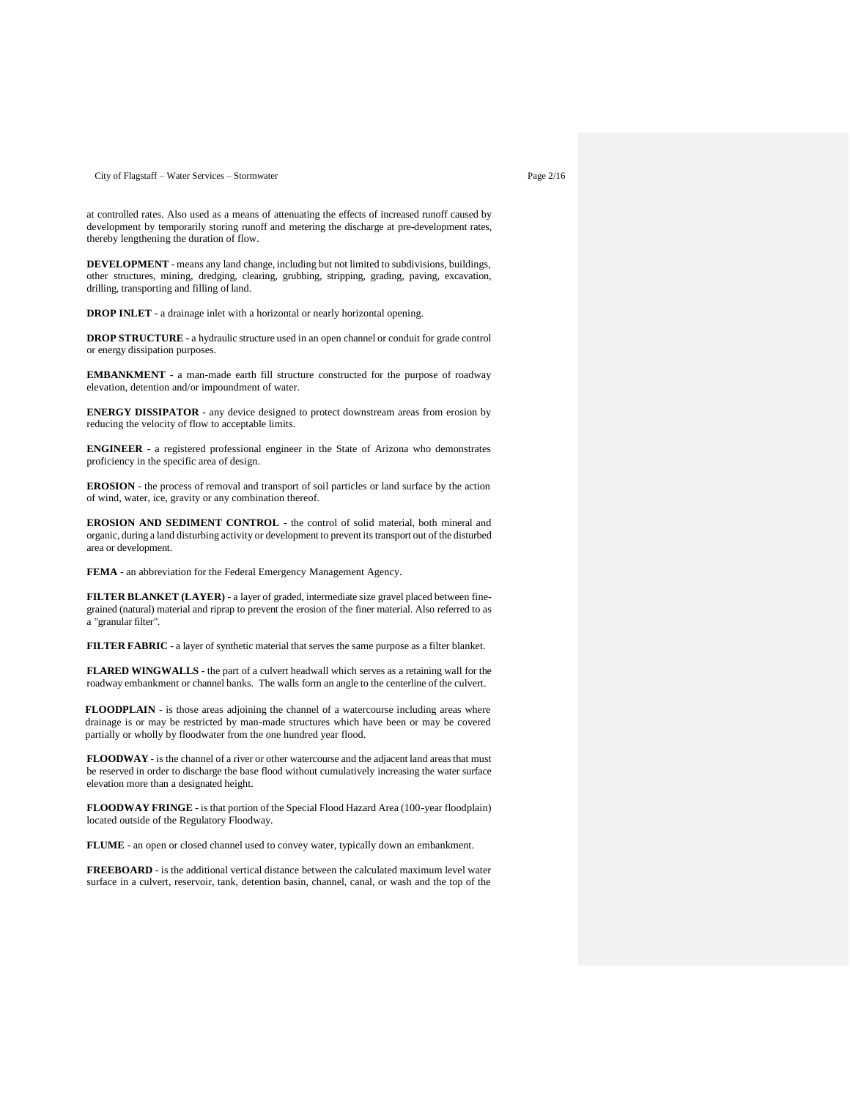City of Flagstaff – Water Services – Stormwater Page 2/16

at controlled rates. Also used as a means of attenuating the effects of increased runoff caused by development by temporarily storing runoff and metering the discharge at pre-development rates, thereby lengthening the duration of flow.

**DEVELOPMENT** - means any land change, including but not limited to subdivisions, buildings, other structures, mining, dredging, clearing, grubbing, stripping, grading, paving, excavation, drilling, transporting and filling of land.

**DROP INLET** - a drainage inlet with a horizontal or nearly horizontal opening.

**DROP STRUCTURE** - a hydraulic structure used in an open channel or conduit for grade control or energy dissipation purposes.

**EMBANKMENT** - a man-made earth fill structure constructed for the purpose of roadway elevation, detention and/or impoundment of water.

**ENERGY DISSIPATOR** - any device designed to protect downstream areas from erosion by reducing the velocity of flow to acceptable limits.

**ENGINEER** - a registered professional engineer in the State of Arizona who demonstrates proficiency in the specific area of design.

**EROSION** - the process of removal and transport of soil particles or land surface by the action of wind, water, ice, gravity or any combination thereof.

**EROSION AND SEDIMENT CONTROL** - the control of solid material, both mineral and organic, during a land disturbing activity or development to prevent its transport out of the disturbed area or development.

**FEMA** - an abbreviation for the Federal Emergency Management Agency.

**FILTER BLANKET (LAYER)** - a layer of graded, intermediate size gravel placed between finegrained (natural) material and riprap to prevent the erosion of the finer material. Also referred to as a "granular filter".

**FILTER FABRIC** - a layer of synthetic material that serves the same purpose as a filter blanket.

**FLARED WINGWALLS** - the part of a culvert headwall which serves as a retaining wall for the roadway embankment or channel banks. The walls form an angle to the centerline of the culvert.

**FLOODPLAIN** - is those areas adjoining the channel of a watercourse including areas where drainage is or may be restricted by man-made structures which have been or may be covered partially or wholly by floodwater from the one hundred year flood.

**FLOODWAY** - is the channel of a river or other watercourse and the adjacent land areas that must be reserved in order to discharge the base flood without cumulatively increasing the water surface elevation more than a designated height.

**FLOODWAY FRINGE** - is that portion of the Special Flood Hazard Area (100-year floodplain) located outside of the Regulatory Floodway.

**FLUME** - an open or closed channel used to convey water, typically down an embankment.

**FREEBOARD** - is the additional vertical distance between the calculated maximum level water surface in a culvert, reservoir, tank, detention basin, channel, canal, or wash and the top of the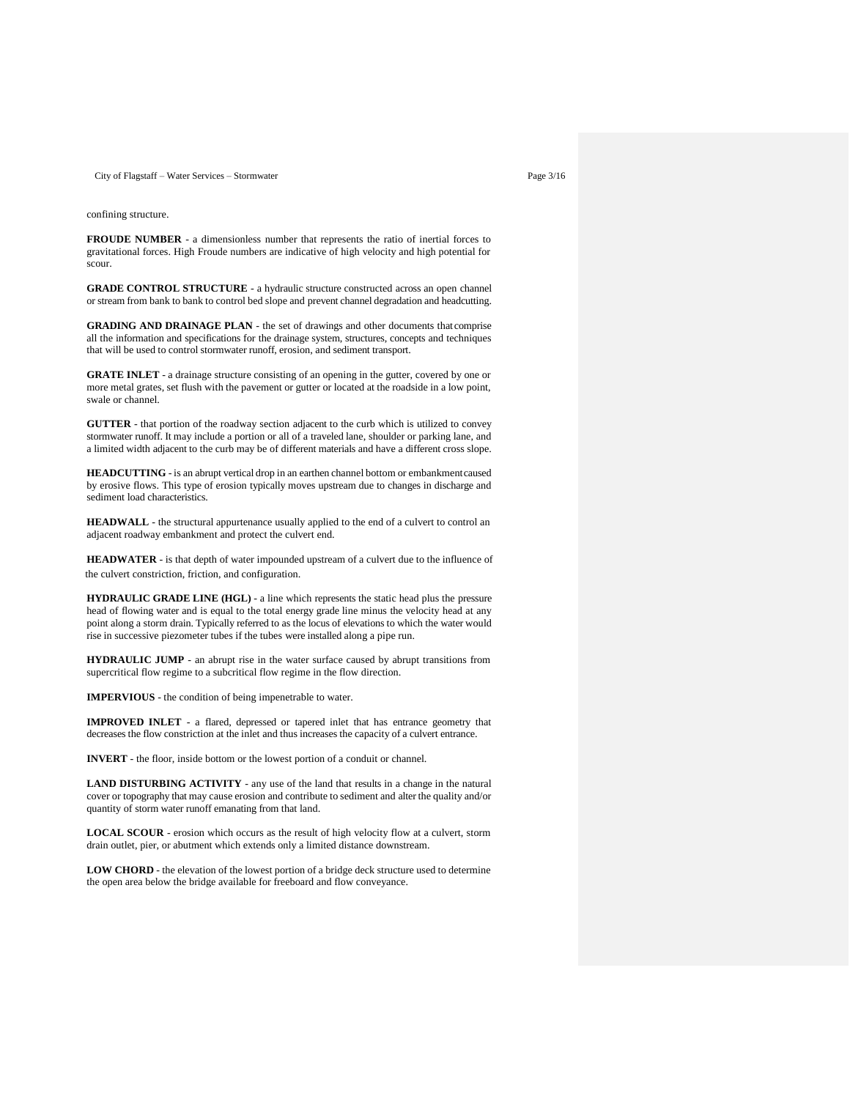City of Flagstaff – Water Services – Stormwater Page 3/16

confining structure.

**FROUDE NUMBER** - a dimensionless number that represents the ratio of inertial forces to gravitational forces. High Froude numbers are indicative of high velocity and high potential for scour.

**GRADE CONTROL STRUCTURE** - a hydraulic structure constructed across an open channel or stream from bank to bank to control bed slope and prevent channel degradation and headcutting.

**GRADING AND DRAINAGE PLAN** - the set of drawings and other documents that comprise all the information and specifications for the drainage system, structures, concepts and techniques that will be used to control stormwater runoff, erosion, and sediment transport.

**GRATE INLET** - a drainage structure consisting of an opening in the gutter, covered by one or more metal grates, set flush with the pavement or gutter or located at the roadside in a low point, swale or channel.

**GUTTER** - that portion of the roadway section adjacent to the curb which is utilized to convey stormwater runoff. It may include a portion or all of a traveled lane, shoulder or parking lane, and a limited width adjacent to the curb may be of different materials and have a different cross slope.

**HEADCUTTING** - is an abrupt vertical drop in an earthen channel bottom or embankmentcaused by erosive flows. This type of erosion typically moves upstream due to changes in discharge and sediment load characteristics.

**HEADWALL** - the structural appurtenance usually applied to the end of a culvert to control an adjacent roadway embankment and protect the culvert end.

**HEADWATER** - is that depth of water impounded upstream of a culvert due to the influence of the culvert constriction, friction, and configuration.

**HYDRAULIC GRADE LINE (HGL)** - a line which represents the static head plus the pressure head of flowing water and is equal to the total energy grade line minus the velocity head at any point along a storm drain. Typically referred to as the locus of elevations to which the water would rise in successive piezometer tubes if the tubes were installed along a pipe run.

**HYDRAULIC JUMP** - an abrupt rise in the water surface caused by abrupt transitions from supercritical flow regime to a subcritical flow regime in the flow direction.

**IMPERVIOUS** - the condition of being impenetrable to water.

**IMPROVED INLET** - a flared, depressed or tapered inlet that has entrance geometry that decreases the flow constriction at the inlet and thus increases the capacity of a culvert entrance.

**INVERT** - the floor, inside bottom or the lowest portion of a conduit or channel.

**LAND DISTURBING ACTIVITY** - any use of the land that results in a change in the natural cover or topography that may cause erosion and contribute to sediment and alter the quality and/or quantity of storm water runoff emanating from that land.

**LOCAL SCOUR** - erosion which occurs as the result of high velocity flow at a culvert, storm drain outlet, pier, or abutment which extends only a limited distance downstream.

**LOW CHORD** - the elevation of the lowest portion of a bridge deck structure used to determine the open area below the bridge available for freeboard and flow conveyance.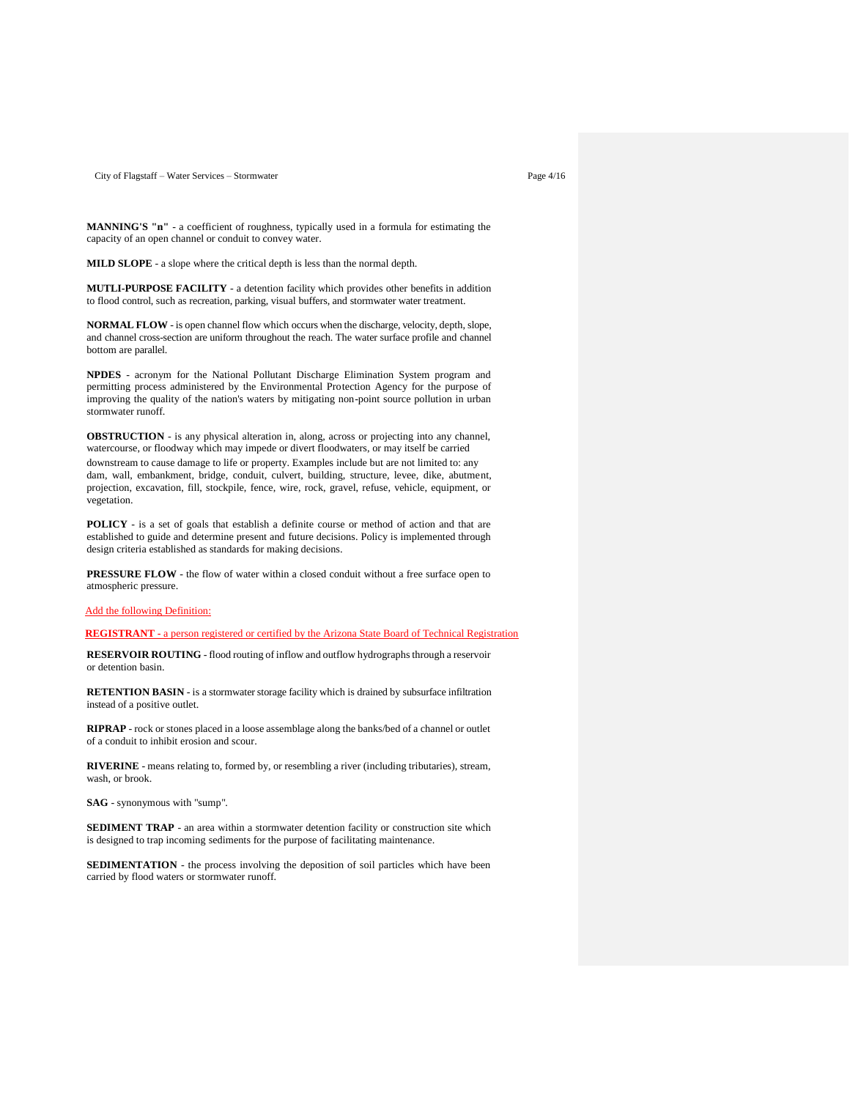City of Flagstaff – Water Services – Stormwater Page 4/16

**MANNING'S "n"** - a coefficient of roughness, typically used in a formula for estimating the capacity of an open channel or conduit to convey water.

**MILD SLOPE** - a slope where the critical depth is less than the normal depth.

**MUTLI-PURPOSE FACILITY** - a detention facility which provides other benefits in addition to flood control, such as recreation, parking, visual buffers, and stormwater water treatment.

**NORMAL FLOW** - is open channel flow which occurs when the discharge, velocity, depth, slope, and channel cross-section are uniform throughout the reach. The water surface profile and channel bottom are parallel.

**NPDES** - acronym for the National Pollutant Discharge Elimination System program and permitting process administered by the Environmental Protection Agency for the purpose of improving the quality of the nation's waters by mitigating non-point source pollution in urban stormwater runoff.

**OBSTRUCTION** - is any physical alteration in, along, across or projecting into any channel, watercourse, or floodway which may impede or divert floodwaters, or may itself be carried downstream to cause damage to life or property. Examples include but are not limited to: any dam, wall, embankment, bridge, conduit, culvert, building, structure, levee, dike, abutment, projection, excavation, fill, stockpile, fence, wire, rock, gravel, refuse, vehicle, equipment, or vegetation.

**POLICY** - is a set of goals that establish a definite course or method of action and that are established to guide and determine present and future decisions. Policy is implemented through design criteria established as standards for making decisions.

**PRESSURE FLOW** - the flow of water within a closed conduit without a free surface open to atmospheric pressure.

Add the following Definition:

**REGISTRANT -** a person registered or certified by the Arizona State Board of Technical Registration

**RESERVOIR ROUTING** - flood routing of inflow and outflow hydrographs through a reservoir or detention basin.

**RETENTION BASIN** - is a stormwater storage facility which is drained by subsurface infiltration instead of a positive outlet.

**RIPRAP** - rock or stones placed in a loose assemblage along the banks/bed of a channel or outlet of a conduit to inhibit erosion and scour.

**RIVERINE** - means relating to, formed by, or resembling a river (including tributaries), stream, wash, or brook.

**SAG** - synonymous with "sump".

**SEDIMENT TRAP** - an area within a stormwater detention facility or construction site which is designed to trap incoming sediments for the purpose of facilitating maintenance.

**SEDIMENTATION** - the process involving the deposition of soil particles which have been carried by flood waters or stormwater runoff.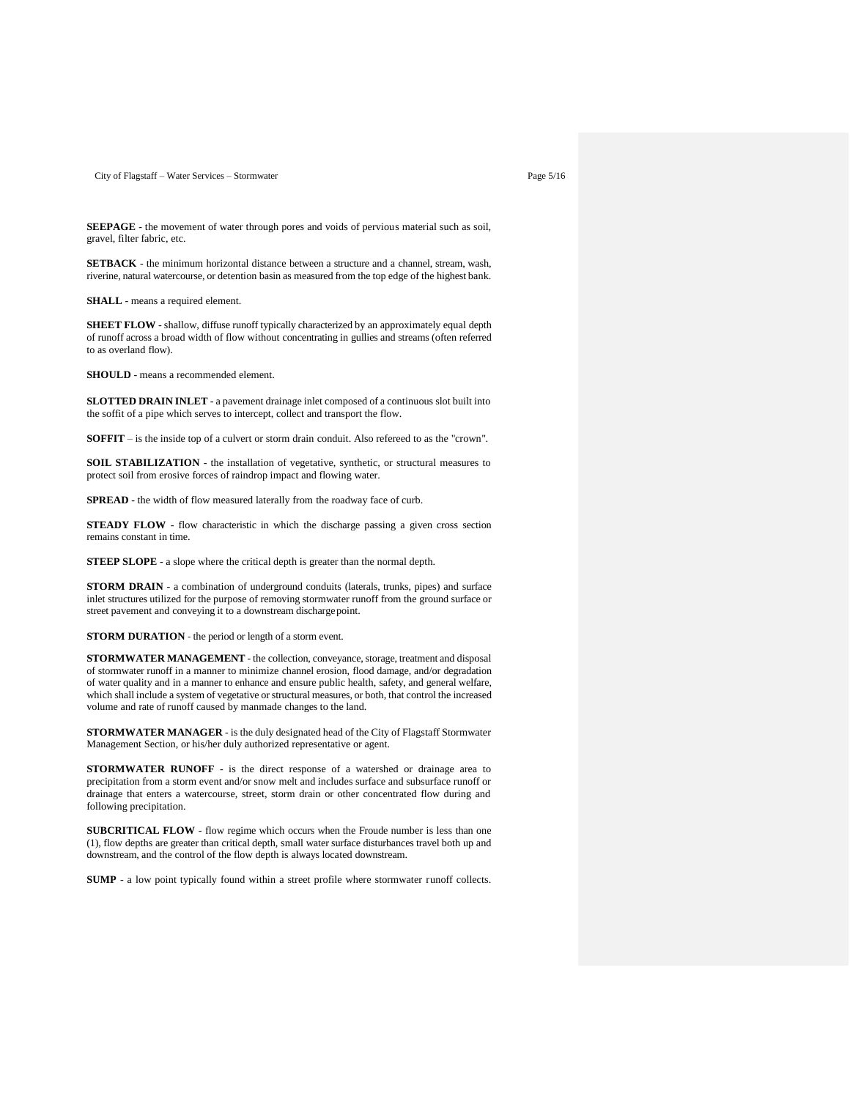City of Flagstaff – Water Services – Stormwater Page 5/16

**SEEPAGE** - the movement of water through pores and voids of pervious material such as soil, gravel, filter fabric, etc.

**SETBACK** - the minimum horizontal distance between a structure and a channel, stream, wash, riverine, natural watercourse, or detention basin as measured from the top edge of the highest bank.

**SHALL** - means a required element.

**SHEET FLOW** - shallow, diffuse runoff typically characterized by an approximately equal depth of runoff across a broad width of flow without concentrating in gullies and streams (often referred to as overland flow).

**SHOULD** - means a recommended element.

**SLOTTED DRAIN INLET** - a pavement drainage inlet composed of a continuous slot built into the soffit of a pipe which serves to intercept, collect and transport the flow.

**SOFFIT** – is the inside top of a culvert or storm drain conduit. Also refereed to as the "crown".

**SOIL STABILIZATION** - the installation of vegetative, synthetic, or structural measures to protect soil from erosive forces of raindrop impact and flowing water.

**SPREAD** - the width of flow measured laterally from the roadway face of curb.

**STEADY FLOW** - flow characteristic in which the discharge passing a given cross section remains constant in time.

**STEEP SLOPE** - a slope where the critical depth is greater than the normal depth.

**STORM DRAIN** - a combination of underground conduits (laterals, trunks, pipes) and surface inlet structures utilized for the purpose of removing stormwater runoff from the ground surface or street pavement and conveying it to a downstream dischargepoint.

**STORM DURATION** - the period or length of a storm event.

**STORMWATER MANAGEMENT** - the collection, conveyance, storage, treatment and disposal of stormwater runoff in a manner to minimize channel erosion, flood damage, and/or degradation of water quality and in a manner to enhance and ensure public health, safety, and general welfare, which shall include a system of vegetative or structural measures, or both, that control the increased volume and rate of runoff caused by manmade changes to the land.

**STORMWATER MANAGER** - is the duly designated head of the City of Flagstaff Stormwater Management Section, or his/her duly authorized representative or agent.

**STORMWATER RUNOFF** - is the direct response of a watershed or drainage area to precipitation from a storm event and/or snow melt and includes surface and subsurface runoff or drainage that enters a watercourse, street, storm drain or other concentrated flow during and following precipitation.

**SUBCRITICAL FLOW** - flow regime which occurs when the Froude number is less than one (1), flow depths are greater than critical depth, small water surface disturbances travel both up and downstream, and the control of the flow depth is always located downstream.

**SUMP** - a low point typically found within a street profile where stormwater runoff collects.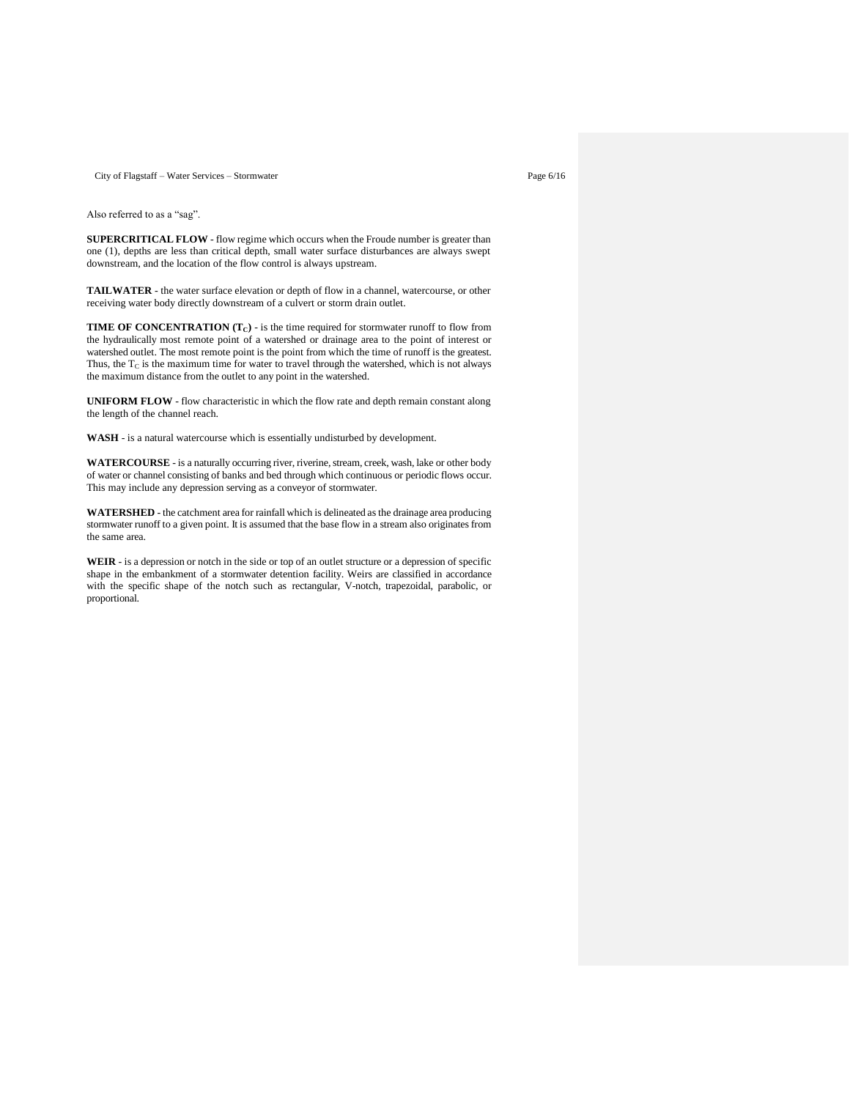City of Flagstaff – Water Services – Stormwater Page 6/16

Also referred to as a "sag".

**SUPERCRITICAL FLOW** - flow regime which occurs when the Froude number is greater than one (1), depths are less than critical depth, small water surface disturbances are always swept downstream, and the location of the flow control is always upstream.

**TAILWATER** - the water surface elevation or depth of flow in a channel, watercourse, or other receiving water body directly downstream of a culvert or storm drain outlet.

**TIME OF CONCENTRATION (TC)** - is the time required for stormwater runoff to flow from the hydraulically most remote point of a watershed or drainage area to the point of interest or watershed outlet. The most remote point is the point from which the time of runoff is the greatest. Thus, the  $T_C$  is the maximum time for water to travel through the watershed, which is not always the maximum distance from the outlet to any point in the watershed.

**UNIFORM FLOW** - flow characteristic in which the flow rate and depth remain constant along the length of the channel reach.

**WASH** - is a natural watercourse which is essentially undisturbed by development.

**WATERCOURSE** - is a naturally occurring river, riverine, stream, creek, wash, lake or other body of water or channel consisting of banks and bed through which continuous or periodic flows occur. This may include any depression serving as a conveyor of stormwater.

**WATERSHED** - the catchment area for rainfall which is delineated as the drainage area producing stormwater runoff to a given point. It is assumed that the base flow in a stream also originates from the same area.

**WEIR** - is a depression or notch in the side or top of an outlet structure or a depression of specific shape in the embankment of a stormwater detention facility. Weirs are classified in accordance with the specific shape of the notch such as rectangular, V-notch, trapezoidal, parabolic, or proportional.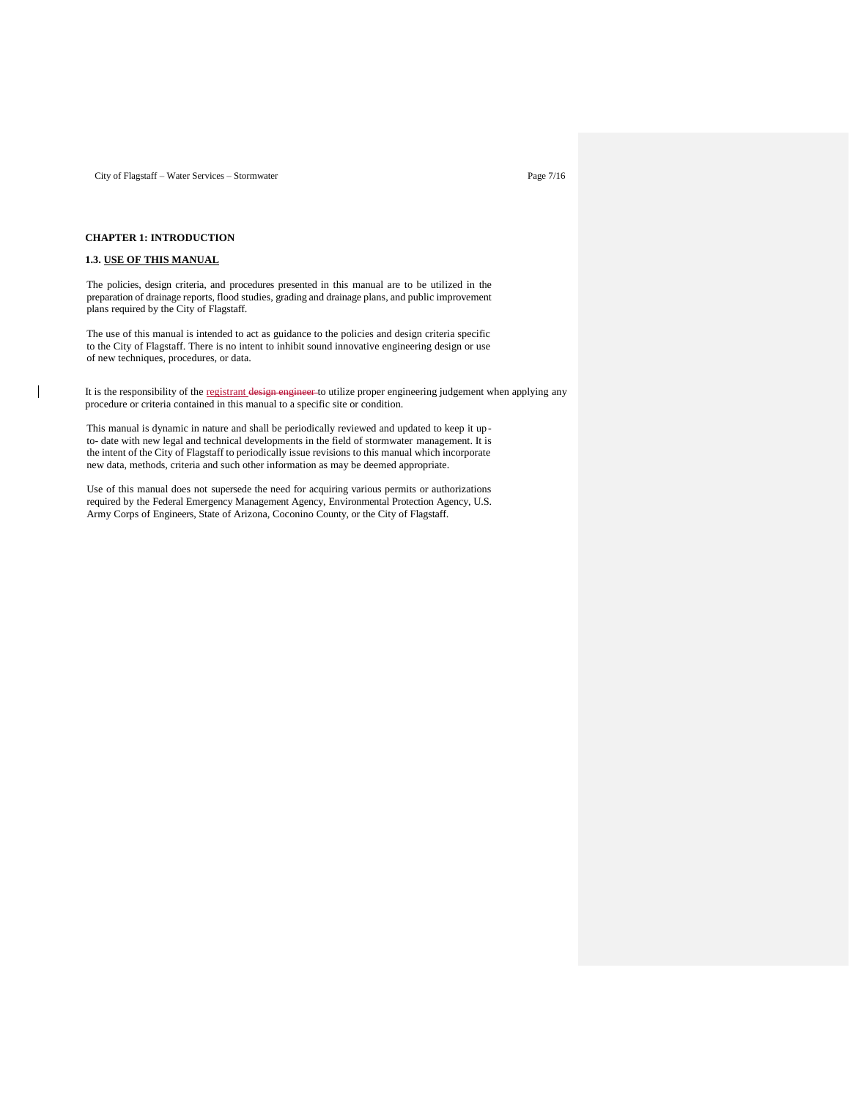City of Flagstaff – Water Services – Stormwater Page 7/16

## **CHAPTER 1: INTRODUCTION**

# **1.3. USE OF THIS MANUAL**

 $\overline{\phantom{a}}$ 

The policies, design criteria, and procedures presented in this manual are to be utilized in the preparation of drainage reports, flood studies, grading and drainage plans, and public improvement plans required by the City of Flagstaff.

The use of this manual is intended to act as guidance to the policies and design criteria specific to the City of Flagstaff. There is no intent to inhibit sound innovative engineering design or use of new techniques, procedures, or data.

It is the responsibility of the registrant design engineer to utilize proper engineering judgement when applying any procedure or criteria contained in this manual to a specific site or condition.

This manual is dynamic in nature and shall be periodically reviewed and updated to keep it up to- date with new legal and technical developments in the field of stormwater management. It is the intent of the City of Flagstaff to periodically issue revisions to this manual which incorporate new data, methods, criteria and such other information as may be deemed appropriate.

Use of this manual does not supersede the need for acquiring various permits or authorizations required by the Federal Emergency Management Agency, Environmental Protection Agency, U.S. Army Corps of Engineers, State of Arizona, Coconino County, or the City of Flagstaff.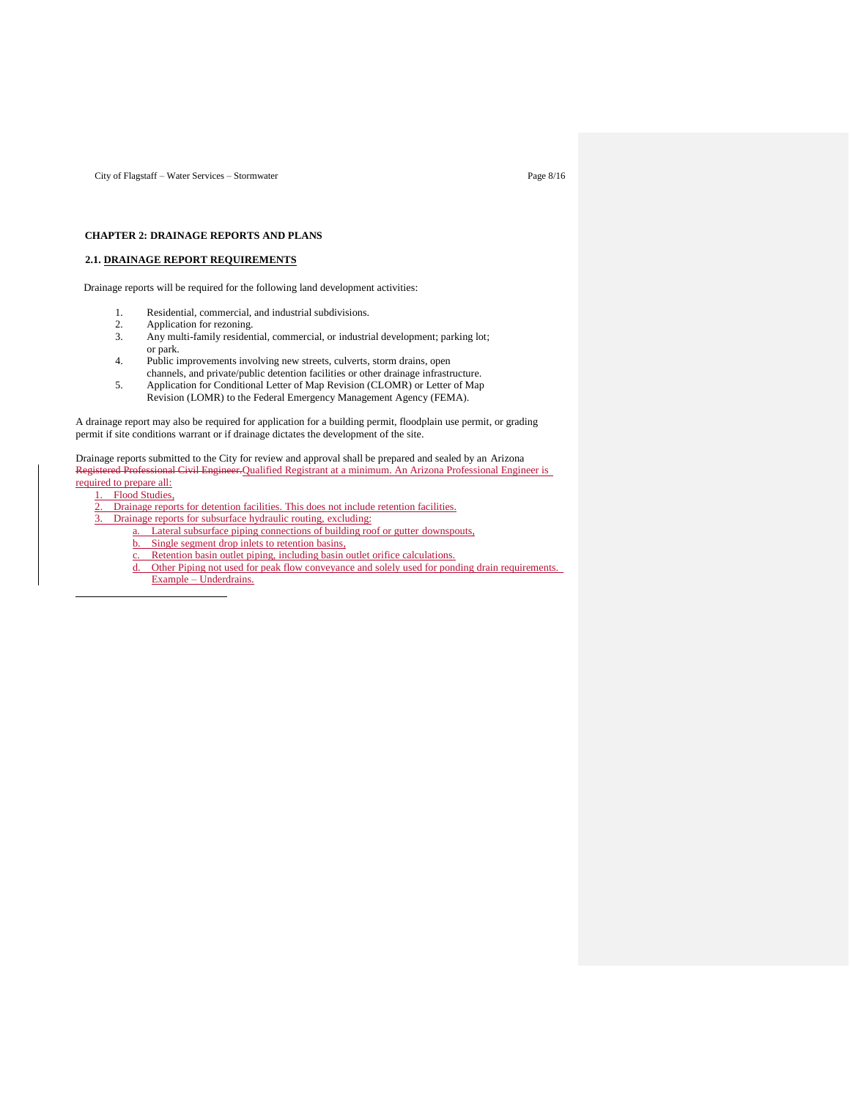City of Flagstaff – Water Services – Stormwater Page 8/16

## **CHAPTER 2: DRAINAGE REPORTS AND PLANS**

## **2.1. DRAINAGE REPORT REQUIREMENTS**

Drainage reports will be required for the following land development activities:

- 1. Residential, commercial, and industrial subdivisions.
- 2. Application for rezoning.<br>3. Any multi-family residen
- Any multi-family residential, commercial, or industrial development; parking lot; or park.
- 4. Public improvements involving new streets, culverts, storm drains, open channels, and private/public detention facilities or other drainage infrastructure.
- 5. Application for Conditional Letter of Map Revision (CLOMR) or Letter of Map Revision (LOMR) to the Federal Emergency Management Agency (FEMA).

A drainage report may also be required for application for a building permit, floodplain use permit, or grading permit if site conditions warrant or if drainage dictates the development of the site.

Drainage reports submitted to the City for review and approval shall be prepared and sealed by an Arizona Registered Professional Civil Engineer.Qualified Registrant at a minimum. An Arizona Professional Engineer is

- required to prepare all: 1. Flood Studies,
	- 2. Drainage reports for detention facilities. This does not include retention facilities.
	- 3. Drainage reports for subsurface hydraulic routing, excluding:
		-
		- a. Lateral subsurface piping connections of building roof or gutter downspouts,
		- b. Single segment drop inlets to retention basins,
		- Retention basin outlet piping, including basin outlet orifice calculations.
		- d. Other Piping not used for peak flow conveyance and solely used for ponding drain requirements. Example – Underdrains.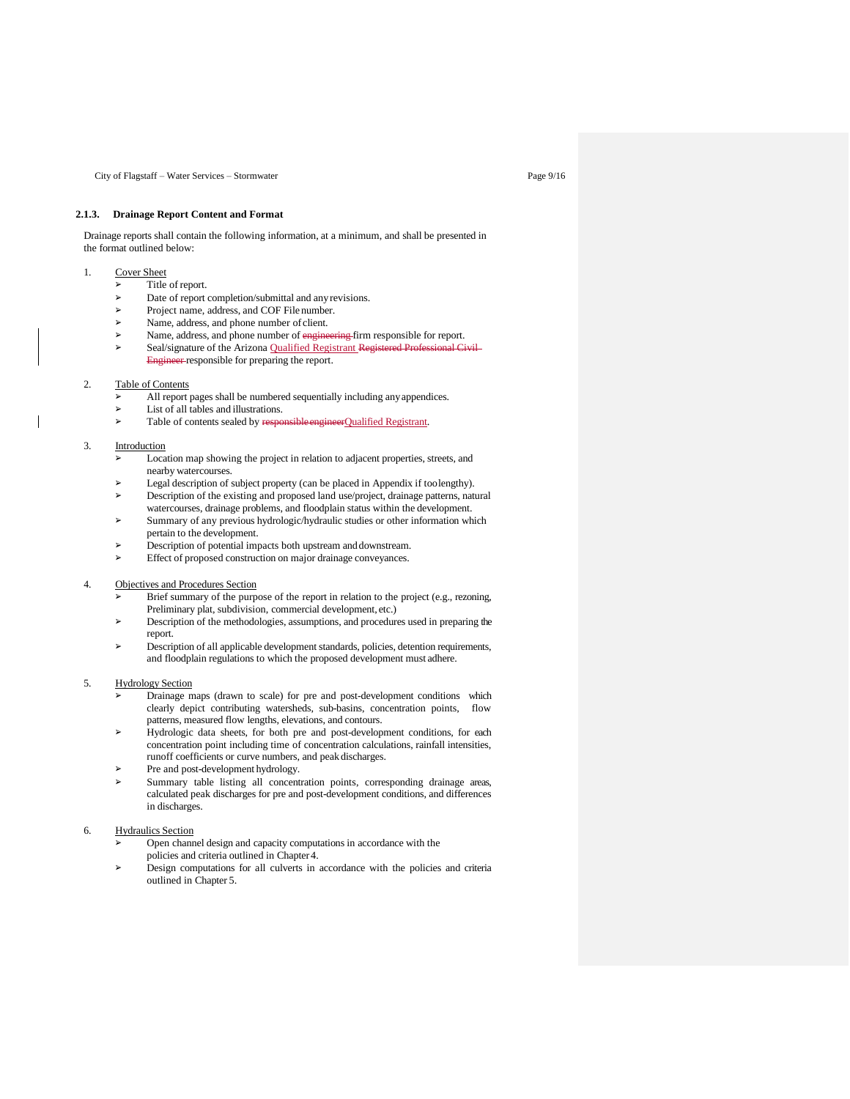City of Flagstaff – Water Services – Stormwater Page 9/16

## **2.1.3. Drainage Report Content and Format**

Drainage reports shall contain the following information, at a minimum, and shall be presented in the format outlined below:

## 1. Cover Sheet

- Title of report.
- Date of report completion/submittal and any revisions.
- ➢ Project name, address, and COF File number.
- Name, address, and phone number of client.
- Name, address, and phone number of engineering firm responsible for report. Seal/signature of the Arizona Qualified Registrant Registered Professional Civil-Engineer responsible for preparing the report.

### 2. Table of Contents

- All report pages shall be numbered sequentially including any appendices.
- ➢ List of all tables and illustrations.
- ➢ Table of contents sealed by responsibleengineerQualified Registrant.

### 3. Introduction

- ➢ Location map showing the project in relation to adjacent properties, streets, and nearby watercourses.
- ➢ Legal description of subject property (can be placed in Appendix if toolengthy).
- ➢ Description of the existing and proposed land use/project, drainage patterns, natural watercourses, drainage problems, and floodplain status within the development.
- Summary of any previous hydrologic/hydraulic studies or other information which pertain to the development.
- Description of potential impacts both upstream and downstream.
- Effect of proposed construction on major drainage conveyances.

### 4. Objectives and Procedures Section

- Brief summary of the purpose of the report in relation to the project (e.g., rezoning, Preliminary plat, subdivision, commercial development, etc.)
- ➢ Description of the methodologies, assumptions, and procedures used in preparing the report.
- ➢ Description of all applicable development standards, policies, detention requirements, and floodplain regulations to which the proposed development must adhere.

### 5. Hydrology Section

- ➢ Drainage maps (drawn to scale) for pre and post-development conditions which clearly depict contributing watersheds, sub-basins, concentration points, flow patterns, measured flow lengths, elevations, and contours.
- Hydrologic data sheets, for both pre and post-development conditions, for each concentration point including time of concentration calculations, rainfall intensities, runoff coefficients or curve numbers, and peak discharges.
- Pre and post-development hydrology.
- Summary table listing all concentration points, corresponding drainage areas, calculated peak discharges for pre and post-development conditions, and differences in discharges.

## 6. Hydraulics Section

- ➢ Open channel design and capacity computations in accordance with the policies and criteria outlined in Chapter 4.
- ➢ Design computations for all culverts in accordance with the policies and criteria outlined in Chapter 5.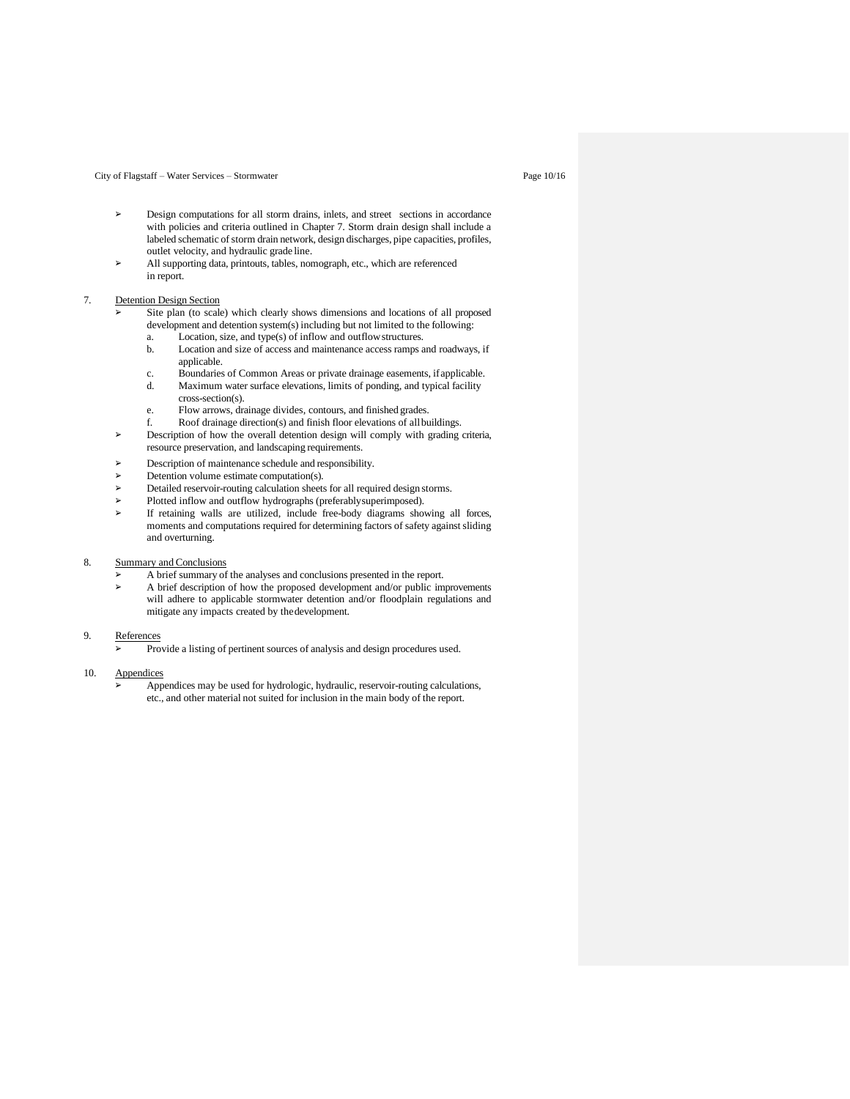### City of Flagstaff – Water Services – Stormwater Page 10/16

- ➢ Design computations for all storm drains, inlets, and street sections in accordance with policies and criteria outlined in Chapter 7. Storm drain design shall include a labeled schematic of storm drain network, design discharges, pipe capacities, profiles, outlet velocity, and hydraulic grade line.
- All supporting data, printouts, tables, nomograph, etc., which are referenced in report.

### 7. Detention Design Section

- Site plan (to scale) which clearly shows dimensions and locations of all proposed development and detention system(s) including but not limited to the following:
	- a. Location, size, and type(s) of inflow and outflow structures.<br>b. Location and size of access and maintenance access ramps a Location and size of access and maintenance access ramps and roadways, if applicable.
	- c. Boundaries of Common Areas or private drainage easements, if applicable. d. Maximum water surface elevations, limits of ponding, and typical facility
	- cross-section(s). e. Flow arrows, drainage divides, contours, and finished grades.
	- f. Roof drainage direction(s) and finish floor elevations of allbuildings.
- ➢ Description of how the overall detention design will comply with grading criteria, resource preservation, and landscaping requirements.
- ➢ Description of maintenance schedule and responsibility.
- Detention volume estimate computation(s).
- ➢ Detailed reservoir-routing calculation sheets for all required design storms.
- ➢ Plotted inflow and outflow hydrographs (preferablysuperimposed).
- If retaining walls are utilized, include free-body diagrams showing all forces, moments and computations required for determining factors of safety against sliding and overturning.

## 8. Summary and Conclusions

- ➢ A brief summary of the analyses and conclusions presented in the report.
- ➢ A brief description of how the proposed development and/or public improvements will adhere to applicable stormwater detention and/or floodplain regulations and mitigate any impacts created by thedevelopment.

#### 9. References

➢ Provide a listing of pertinent sources of analysis and design procedures used.

## 10. Appendices

➢ Appendices may be used for hydrologic, hydraulic, reservoir-routing calculations, etc., and other material not suited for inclusion in the main body of the report.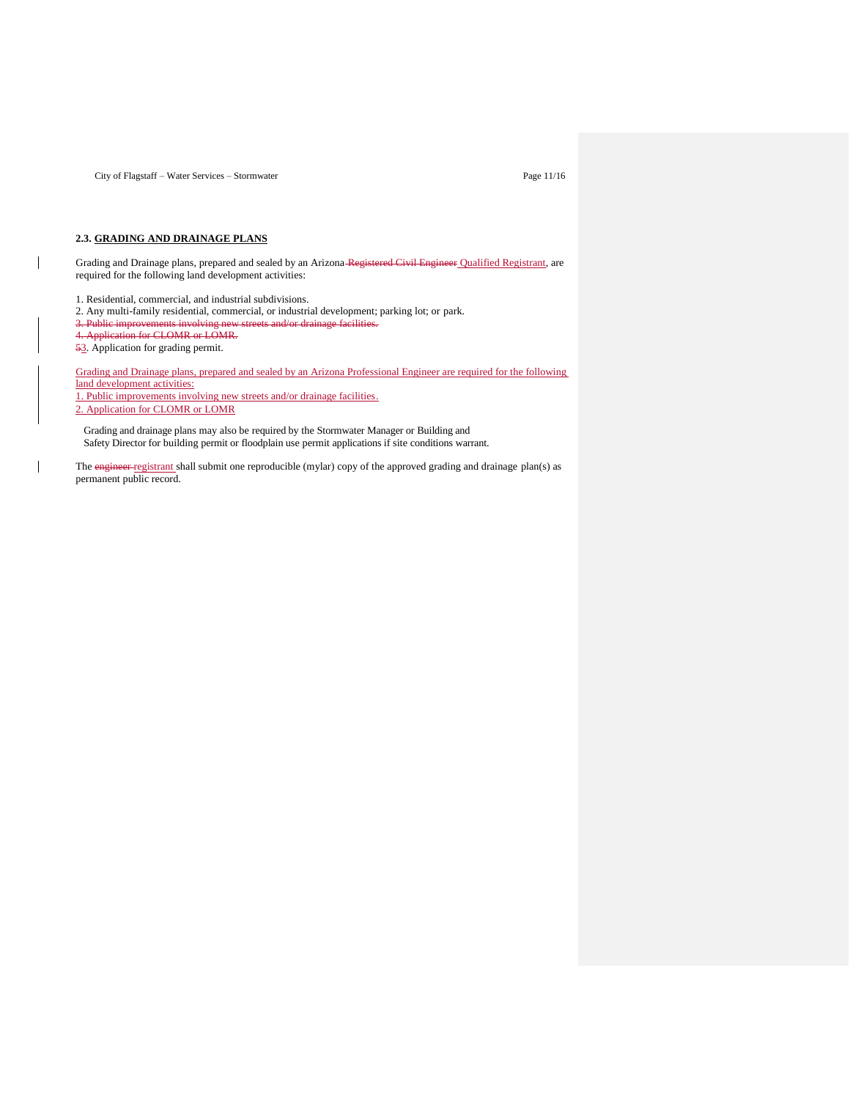City of Flagstaff – Water Services – Stormwater Page 11/16

## **2.3. GRADING AND DRAINAGE PLANS**

Grading and Drainage plans, prepared and sealed by an Arizona-Registered Civil Engineer Qualified Registrant, are required for the following land development activities:

1. Residential, commercial, and industrial subdivisions.

2. Any multi-family residential, commercial, or industrial development; parking lot; or park.

3. Public improvements involving new streets and/or drainage

4. Application for CLOMR or LOMR.

53. Application for grading permit.

 $\mathsf{l}$ 

 $\overline{\phantom{a}}$ 

Grading and Drainage plans, prepared and sealed by an Arizona Professional Engineer are required for the following land development activities:

1. Public improvements involving new streets and/or drainage facilities.

2. Application for CLOMR or LOMR

Grading and drainage plans may also be required by the Stormwater Manager or Building and Safety Director for building permit or floodplain use permit applications if site conditions warrant.

The engineer registrant shall submit one reproducible (mylar) copy of the approved grading and drainage plan(s) as permanent public record.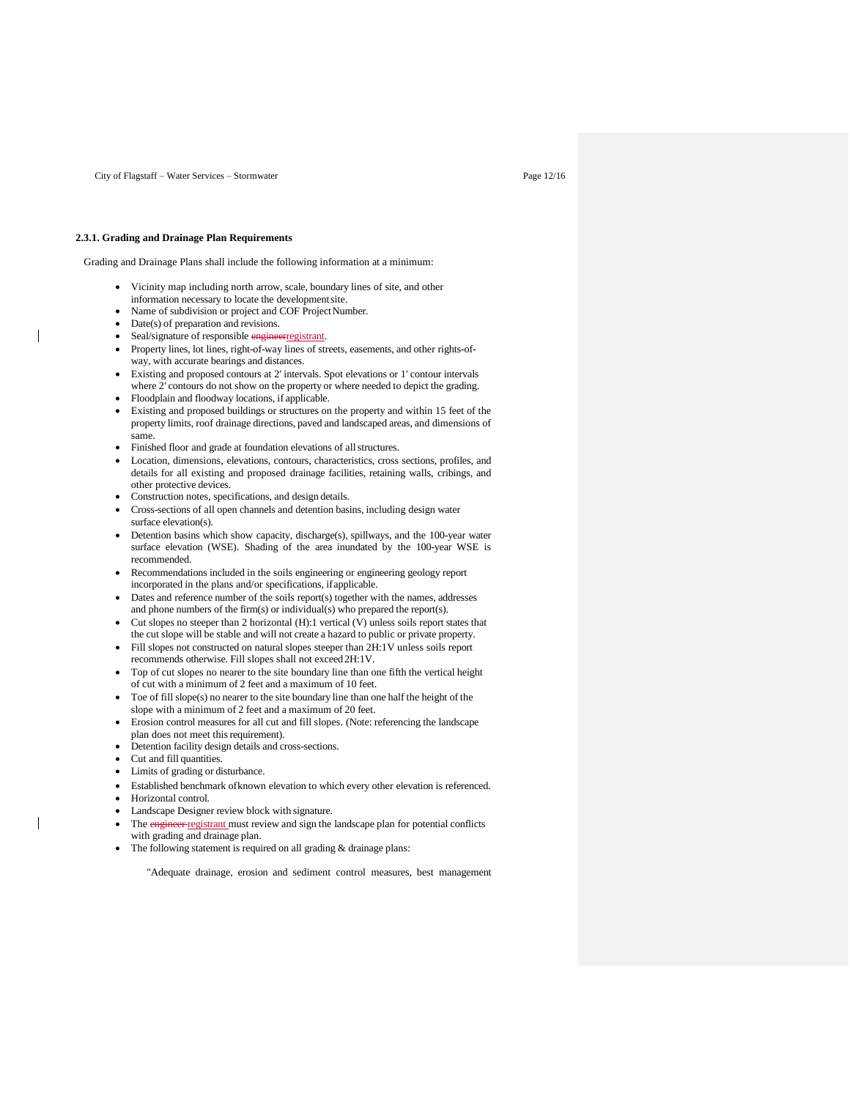City of Flagstaff – Water Services – Stormwater Page 12/16

### **2.3.1. Grading and Drainage Plan Requirements**

Grading and Drainage Plans shall include the following information at a minimum:

- Vicinity map including north arrow, scale, boundary lines of site, and other information necessary to locate the developmentsite.
- Name of subdivision or project and COF Project Number.
- Date(s) of preparation and revisions.

- Seal/signature of responsible engineerregistrant.
- Property lines, lot lines, right-of-way lines of streets, easements, and other rights-ofway, with accurate bearings and distances.
- Existing and proposed contours at 2' intervals. Spot elevations or 1' contour intervals where 2' contours do not show on the property or where needed to depict the grading.
- Floodplain and floodway locations, if applicable.
- Existing and proposed buildings or structures on the property and within 15 feet of the property limits, roof drainage directions, paved and landscaped areas, and dimensions of same.
- Finished floor and grade at foundation elevations of allstructures.
- Location, dimensions, elevations, contours, characteristics, cross sections, profiles, and details for all existing and proposed drainage facilities, retaining walls, cribings, and other protective devices.
- Construction notes, specifications, and design details.
- Cross-sections of all open channels and detention basins, including design water surface elevation(s).
- Detention basins which show capacity, discharge(s), spillways, and the 100-year water surface elevation (WSE). Shading of the area inundated by the 100-year WSE is recommended.
- Recommendations included in the soils engineering or engineering geology report incorporated in the plans and/or specifications, ifapplicable.
- Dates and reference number of the soils report(s) together with the names, addresses and phone numbers of the firm(s) or individual(s) who prepared the report(s).
- Cut slopes no steeper than 2 horizontal (H):1 vertical (V) unless soils report states that the cut slope will be stable and will not create a hazard to public or private property.
- Fill slopes not constructed on natural slopes steeper than 2H:1V unless soils report recommends otherwise. Fill slopes shall not exceed2H:1V.
- Top of cut slopes no nearer to the site boundary line than one fifth the vertical height of cut with a minimum of 2 feet and a maximum of 10 feet.
- Toe of fill slope(s) no nearer to the site boundary line than one half the height of the slope with a minimum of 2 feet and a maximum of 20 feet.
- Erosion control measures for all cut and fill slopes. (Note: referencing the landscape plan does not meet this requirement).
- Detention facility design details and cross-sections.
- Cut and fill quantities.
- Limits of grading or disturbance.
- Established benchmark ofknown elevation to which every other elevation is referenced.
- Horizontal control.
- Landscape Designer review block with signature.
- The engineer registrant must review and sign the landscape plan for potential conflicts with grading and drainage plan.
- The following statement is required on all grading & drainage plans:

"Adequate drainage, erosion and sediment control measures, best management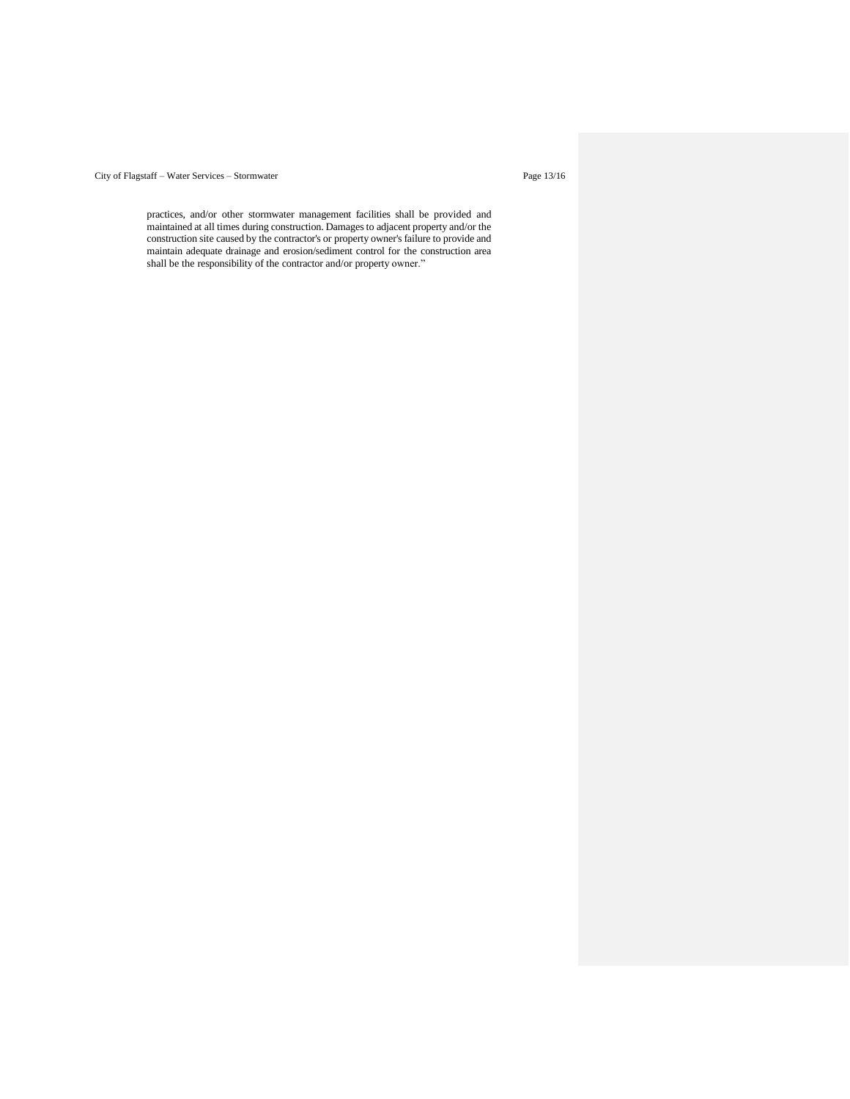# City of Flagstaff – Water Services – Stormwater Page 13/16

practices, and/or other stormwater management facilities shall be provided and maintained at all times during construction. Damages to adjacent property and/or the construction site caused by the contractor's or property owner's failure to provide and maintain adequate drainage and erosion/sediment control for the construction area shall be the responsibility of the contractor and/or property owner."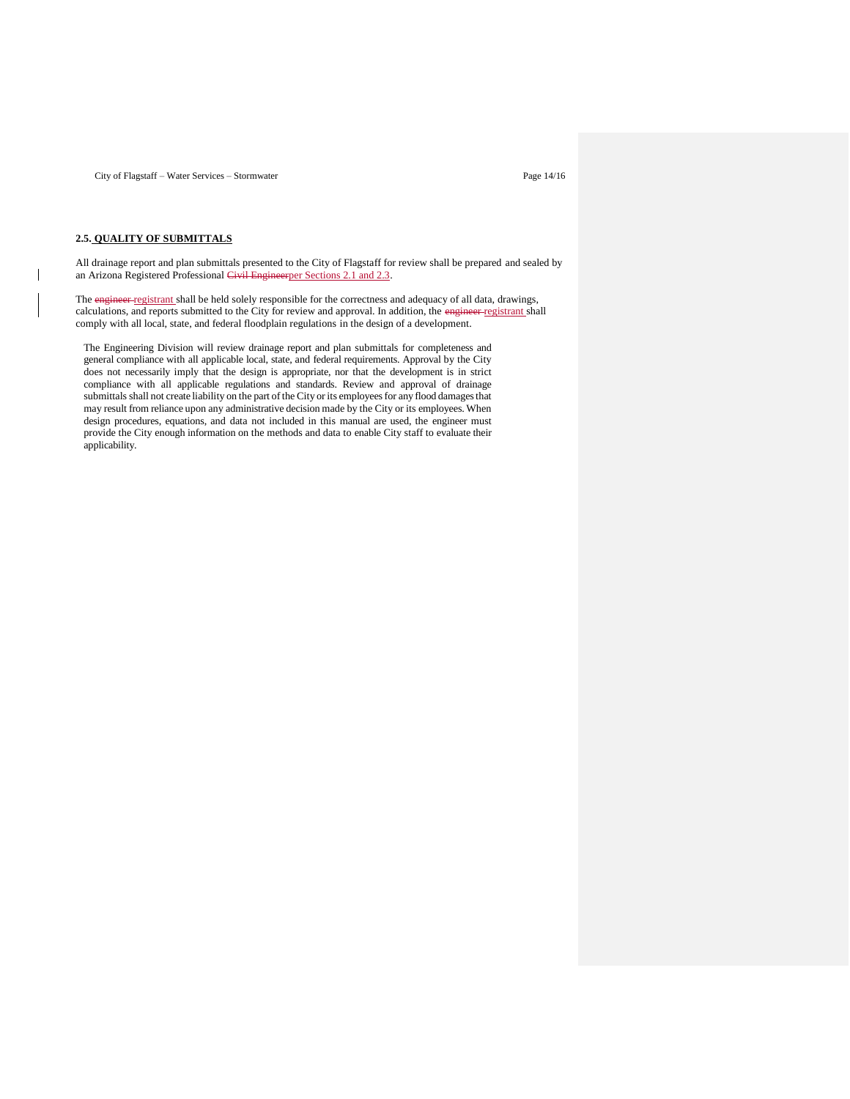## **2.5. QUALITY OF SUBMITTALS**

All drainage report and plan submittals presented to the City of Flagstaff for review shall be prepared and sealed by an Arizona Registered Professional Civil Engineerper Sections 2.1 and 2.3.

The engineer registrant shall be held solely responsible for the correctness and adequacy of all data, drawings, calculations, and reports submitted to the City for review and approval. In addition, the engineer registrant shall comply with all local, state, and federal floodplain regulations in the design of a development.

The Engineering Division will review drainage report and plan submittals for completeness and general compliance with all applicable local, state, and federal requirements. Approval by the City does not necessarily imply that the design is appropriate, nor that the development is in strict compliance with all applicable regulations and standards. Review and approval of drainage submittals shall not create liability on the part of the City or its employees for any flood damages that may result from reliance upon any administrative decision made by the City or its employees. When design procedures, equations, and data not included in this manual are used, the engineer must provide the City enough information on the methods and data to enable City staff to evaluate their applicability.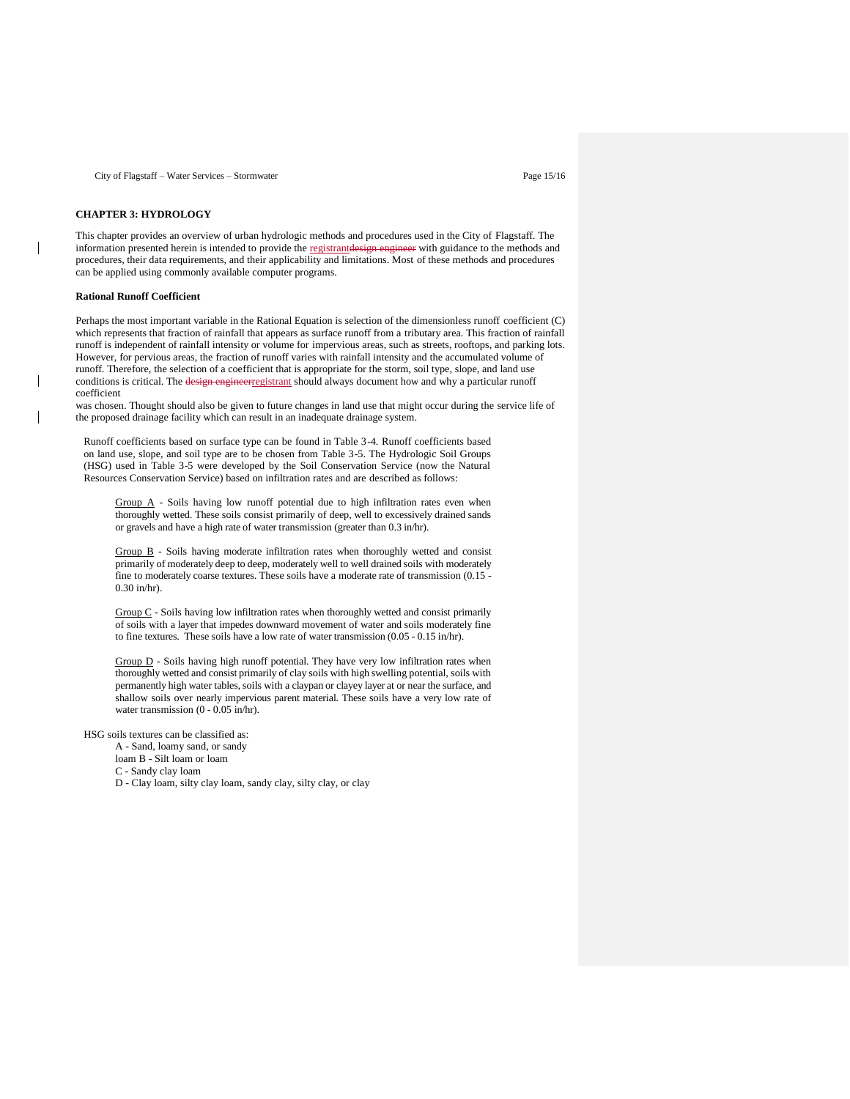## **CHAPTER 3: HYDROLOGY**

This chapter provides an overview of urban hydrologic methods and procedures used in the City of Flagstaff. The information presented herein is intended to provide the registrantdesign engineer with guidance to the methods and procedures, their data requirements, and their applicability and limitations. Most of these methods and procedures can be applied using commonly available computer programs.

### **Rational Runoff Coefficient**

Perhaps the most important variable in the Rational Equation is selection of the dimensionless runoff coefficient (C) which represents that fraction of rainfall that appears as surface runoff from a tributary area. This fraction of rainfall runoff is independent of rainfall intensity or volume for impervious areas, such as streets, rooftops, and parking lots. However, for pervious areas, the fraction of runoff varies with rainfall intensity and the accumulated volume of runoff. Therefore, the selection of a coefficient that is appropriate for the storm, soil type, slope, and land use conditions is critical. The design engineerregistrant should always document how and why a particular runoff coefficient

was chosen. Thought should also be given to future changes in land use that might occur during the service life of the proposed drainage facility which can result in an inadequate drainage system.

Runoff coefficients based on surface type can be found in Table 3-4. Runoff coefficients based on land use, slope, and soil type are to be chosen from Table 3-5. The Hydrologic Soil Groups (HSG) used in Table 3-5 were developed by the Soil Conservation Service (now the Natural Resources Conservation Service) based on infiltration rates and are described as follows:

Group A - Soils having low runoff potential due to high infiltration rates even when thoroughly wetted. These soils consist primarily of deep, well to excessively drained sands or gravels and have a high rate of water transmission (greater than 0.3 in/hr).

Group B - Soils having moderate infiltration rates when thoroughly wetted and consist primarily of moderately deep to deep, moderately well to well drained soils with moderately fine to moderately coarse textures. These soils have a moderate rate of transmission (0.15 - 0.30 in/hr).

Group C - Soils having low infiltration rates when thoroughly wetted and consist primarily of soils with a layer that impedes downward movement of water and soils moderately fine to fine textures. These soils have a low rate of water transmission (0.05 - 0.15 in/hr).

Group D - Soils having high runoff potential. They have very low infiltration rates when thoroughly wetted and consist primarily of clay soils with high swelling potential, soils with permanently high water tables, soils with a claypan or clayey layer at or near the surface, and shallow soils over nearly impervious parent material. These soils have a very low rate of water transmission (0 - 0.05 in/hr).

HSG soils textures can be classified as:

A - Sand, loamy sand, or sandy

loam B - Silt loam or loam

C - Sandy clay loam

D - Clay loam, silty clay loam, sandy clay, silty clay, or clay